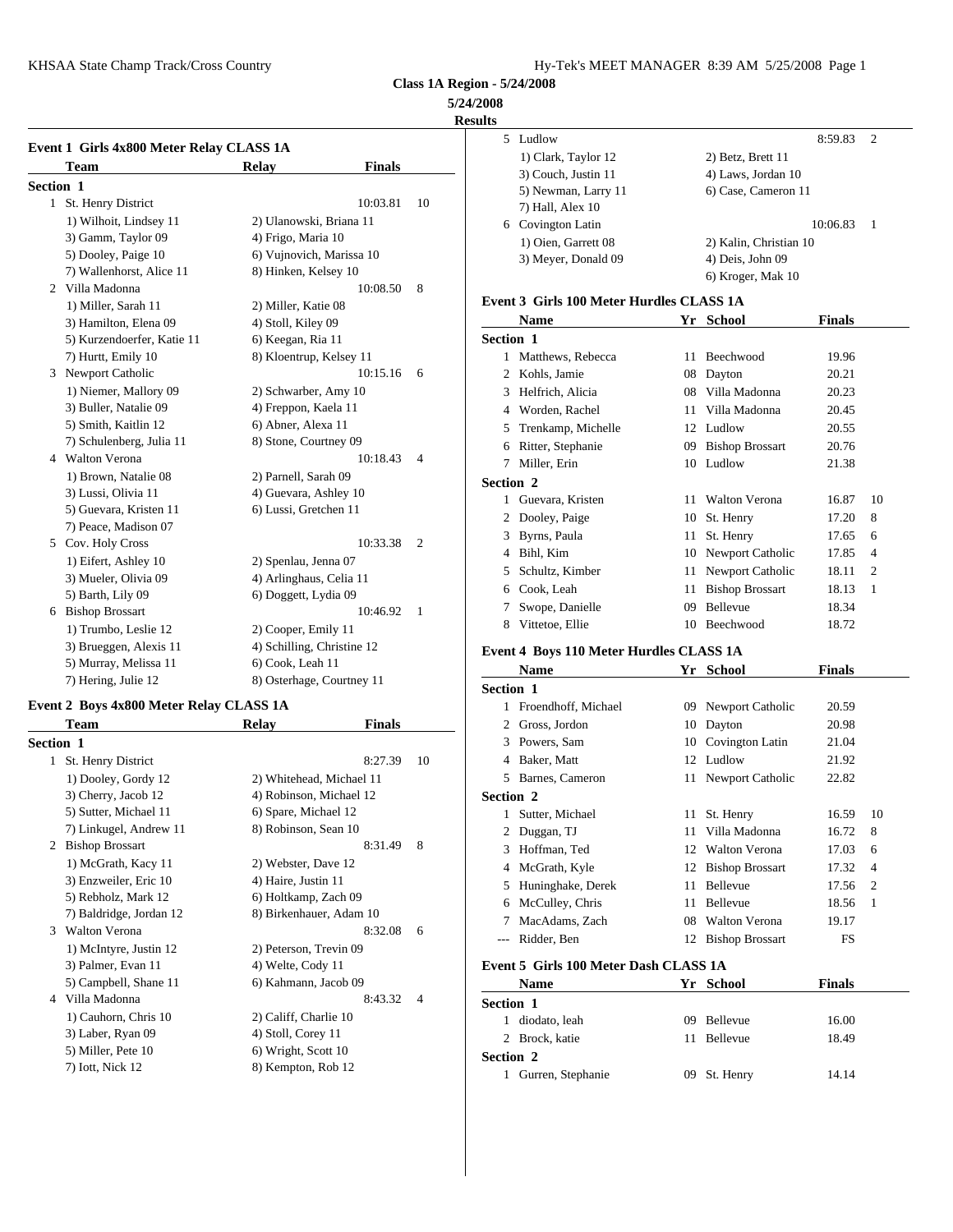**5/24/2008**

### **Results**

|                  | Event 1 Girls 4x800 Meter Relay CLASS 1A |                            |               |                | 5                   | Ludlo        |
|------------------|------------------------------------------|----------------------------|---------------|----------------|---------------------|--------------|
|                  | Team                                     | Relay                      | <b>Finals</b> |                |                     | $1)$ Cla     |
|                  |                                          |                            |               |                |                     | $3)$ Co      |
| <b>Section 1</b> |                                          |                            | 10:03.81      | 10             |                     | 5) Ne        |
|                  | 1 St. Henry District                     |                            |               |                |                     | 7) Ha        |
|                  | 1) Wilhoit, Lindsey 11                   | 2) Ulanowski, Briana 11    |               |                | 6.                  | Covir        |
|                  | 3) Gamm, Taylor 09                       | 4) Frigo, Maria 10         |               |                |                     | $1)$ Oi      |
|                  | 5) Dooley, Paige 10                      | 6) Vujnovich, Marissa 10   |               |                |                     | $3)$ Me      |
|                  | 7) Wallenhorst, Alice 11                 | 8) Hinken, Kelsey 10       |               |                |                     |              |
|                  | 2 Villa Madonna                          |                            | 10:08.50      | 8              | Event 3 Gi          |              |
|                  | 1) Miller, Sarah 11                      | 2) Miller, Katie 08        |               |                |                     | <b>Nam</b>   |
|                  | 3) Hamilton, Elena 09                    | 4) Stoll, Kiley 09         |               |                |                     |              |
|                  | 5) Kurzendoerfer, Katie 11               | 6) Keegan, Ria 11          |               |                | Section 1           |              |
|                  | 7) Hurtt, Emily 10                       | 8) Kloentrup, Kelsey 11    |               |                | 1                   | Matth        |
|                  | 3 Newport Catholic                       |                            | 10:15.16      | 6              | 2                   | Kohls        |
|                  | 1) Niemer, Mallory 09                    | 2) Schwarber, Amy 10       |               |                | 3                   | Helfri       |
|                  | 3) Buller, Natalie 09                    | 4) Freppon, Kaela 11       |               |                | 4                   | Word         |
|                  | 5) Smith, Kaitlin 12                     | 6) Abner, Alexa 11         |               |                | 5                   | Trenk        |
|                  | 7) Schulenberg, Julia 11                 | 8) Stone, Courtney 09      |               |                | 6                   | Ritter       |
|                  | 4 Walton Verona                          |                            | 10:18.43      | $\overline{4}$ | 7                   | Miller       |
|                  | 1) Brown, Natalie 08                     | 2) Parnell, Sarah 09       |               |                | Section 2           |              |
|                  | 3) Lussi, Olivia 11                      | 4) Guevara, Ashley 10      |               |                | 1.                  | Gueva        |
|                  | 5) Guevara, Kristen 11                   | 6) Lussi, Gretchen 11      |               |                | 2                   | Doole        |
|                  | 7) Peace, Madison 07                     |                            |               |                |                     | <b>Byrns</b> |
|                  | 5 Cov. Holy Cross                        |                            | 10:33.38      | $\overline{2}$ | 4                   | Bihl.        |
|                  | 1) Eifert, Ashley 10                     | 2) Spenlau, Jenna 07       |               |                | 5                   | Schul        |
|                  | 3) Mueler, Olivia 09                     | 4) Arlinghaus, Celia 11    |               |                |                     |              |
|                  | 5) Barth, Lily 09                        | 6) Doggett, Lydia 09       |               |                | 6                   | Cook.        |
|                  | 6 Bishop Brossart                        |                            | 10:46.92      | $\mathbf{1}$   | 7                   | Swop         |
|                  | 1) Trumbo, Leslie 12                     | 2) Cooper, Emily 11        |               |                | 8                   | Vittet       |
|                  | 3) Brueggen, Alexis 11                   | 4) Schilling, Christine 12 |               |                | Event 4 Bo          |              |
|                  | 5) Murray, Melissa 11                    | 6) Cook, Leah 11           |               |                |                     | <b>Nam</b>   |
|                  | 7) Hering, Julie 12                      | 8) Osterhage, Courtney 11  |               |                | $\alpha$ . $\alpha$ | $\mathbf{I}$ |

### **Event 2 Boys 4x800 Meter Relay CLASS 1A**

|                  | Team                    | <b>Relay</b>             | <b>Finals</b> |                | $\overline{c}$ | Gross        |
|------------------|-------------------------|--------------------------|---------------|----------------|----------------|--------------|
| <b>Section 1</b> |                         |                          |               |                | 3              | Powe         |
| 1                | St. Henry District      |                          | 8:27.39       | 10             | 4              | Baker        |
|                  | 1) Dooley, Gordy 12     | 2) Whitehead, Michael 11 |               |                | 5              | Barne        |
|                  | 3) Cherry, Jacob 12     | 4) Robinson, Michael 12  |               |                | Section 2      |              |
|                  | 5) Sutter, Michael 11   | 6) Spare, Michael 12     |               |                | 1              | Sutter       |
|                  | 7) Linkugel, Andrew 11  | 8) Robinson, Sean 10     |               |                | 2              | Dugg         |
| 2                | <b>Bishop Brossart</b>  |                          | 8:31.49       | 8              | 3              | Hoffn        |
|                  | 1) McGrath, Kacy 11     | 2) Webster, Dave 12      |               |                | 4              | McGt         |
|                  | 3) Enzweiler, Eric 10   | 4) Haire, Justin 11      |               |                | 5              | Hunir        |
|                  | 5) Rebholz, Mark 12     | 6) Holtkamp, Zach 09     |               |                | 6              | McCu         |
|                  | 7) Baldridge, Jordan 12 | 8) Birkenhauer, Adam 10  |               |                |                | MacA         |
|                  | 3 Walton Verona         |                          | 8:32.08       | 6              |                | Ridde        |
|                  | 1) McIntyre, Justin 12  | 2) Peterson, Trevin 09   |               |                |                |              |
|                  | 3) Palmer, Evan 11      | 4) Welte, Cody 11        |               |                | Event 5 Gi     |              |
|                  | 5) Campbell, Shane 11   | 6) Kahmann, Jacob 09     |               |                |                | <b>Nam</b>   |
| 4                | Villa Madonna           |                          | 8:43.32       | $\overline{4}$ | Section 1      |              |
|                  | 1) Cauhorn, Chris 10    | 2) Califf, Charlie 10    |               |                | 1              | dioda        |
|                  | 3) Laber, Ryan 09       | 4) Stoll, Corey 11       |               |                | 2              | <b>Brock</b> |
|                  | 5) Miller, Pete 10      | 6) Wright, Scott 10      |               |                | Section 2      |              |
|                  | 7) Iott, Nick 12        | 8) Kempton, Rob 12       |               |                |                | Gurre        |
|                  |                         |                          |               |                |                |              |

| 5 | Ludlow              | 8:59.83<br>- 2         |
|---|---------------------|------------------------|
|   | 1) Clark, Taylor 12 | 2) Betz, Brett 11      |
|   | 3) Couch, Justin 11 | 4) Laws, Jordan 10     |
|   | 5) Newman, Larry 11 | 6) Case, Cameron 11    |
|   | 7) Hall, Alex 10    |                        |
| 6 | Covington Latin     | 10:06.83               |
|   | 1) Oien, Garrett 08 | 2) Kalin, Christian 10 |
|   | 3) Meyer, Donald 09 | 4) Deis, John 09       |
|   |                     | 6) Kroger, Mak 10      |
|   |                     |                        |

# **Event 3 Girls 100 Meter Hurdles CLASS 1A**

|                  | <b>Name</b>        |    | Yr School              | <b>Finals</b> |                |
|------------------|--------------------|----|------------------------|---------------|----------------|
| <b>Section 1</b> |                    |    |                        |               |                |
| 1                | Matthews, Rebecca  | 11 | Beechwood              | 19.96         |                |
| 2                | Kohls, Jamie       | 08 | Dayton                 | 20.21         |                |
| 3                | Helfrich, Alicia   | 08 | Villa Madonna          | 20.23         |                |
| 4                | Worden, Rachel     | 11 | Villa Madonna          | 20.45         |                |
| 5                | Trenkamp, Michelle | 12 | Ludlow                 | 20.55         |                |
| 6                | Ritter, Stephanie  | 09 | <b>Bishop Brossart</b> | 20.76         |                |
| 7                | Miller, Erin       | 10 | Ludlow                 | 21.38         |                |
| <b>Section 2</b> |                    |    |                        |               |                |
|                  | Guevara, Kristen   | 11 | Walton Verona          | 16.87         | 10             |
| 2                | Dooley, Paige      | 10 | St. Henry              | 17.20         | 8              |
| 3                | Byrns, Paula       | 11 | St. Henry              | 17.65         | 6              |
| 4                | Bihl, Kim          | 10 | Newport Catholic       | 17.85         | $\overline{4}$ |
| 5                | Schultz, Kimber    | 11 | Newport Catholic       | 18.11         | $\overline{c}$ |
| 6                | Cook, Leah         | 11 | <b>Bishop Brossart</b> | 18.13         | 1              |
| 7                | Swope, Danielle    | 09 | Bellevue               | 18.34         |                |
| 8                | Vittetoe, Ellie    | 10 | Beechwood              | 18.72         |                |

# **Event 4 Boys 110 Meter Hurdles CLASS 1A**

| <b>Section 1</b><br>Froendhoff, Michael<br>Gross, Jordon<br>3 Powers, Sam<br>Baker, Matt | 09<br>10                                                                                        | Newport Catholic<br>Dayton | 20.59<br>20.98                                                              |                |
|------------------------------------------------------------------------------------------|-------------------------------------------------------------------------------------------------|----------------------------|-----------------------------------------------------------------------------|----------------|
|                                                                                          |                                                                                                 |                            |                                                                             |                |
|                                                                                          |                                                                                                 |                            |                                                                             |                |
|                                                                                          |                                                                                                 |                            |                                                                             |                |
|                                                                                          |                                                                                                 | 10 Covington Latin         | 21.04                                                                       |                |
|                                                                                          |                                                                                                 | 12 Ludlow                  | 21.92                                                                       |                |
| Barnes, Cameron                                                                          |                                                                                                 | 11 Newport Catholic        | 22.82                                                                       |                |
|                                                                                          |                                                                                                 |                            |                                                                             |                |
| Sutter, Michael                                                                          | 11                                                                                              | St. Henry                  | 16.59                                                                       | 10             |
| Duggan, TJ                                                                               | 11                                                                                              | Villa Madonna              | 16.72                                                                       | 8              |
| Hoffman, Ted                                                                             |                                                                                                 |                            | 17.03                                                                       | 6              |
|                                                                                          |                                                                                                 |                            | 17.32                                                                       | $\overline{4}$ |
|                                                                                          |                                                                                                 |                            | 17.56                                                                       | 2              |
| McCulley, Chris                                                                          | 11                                                                                              | Bellevue                   | 18.56                                                                       | 1              |
| MacAdams, Zach                                                                           | 08                                                                                              | <b>Walton Verona</b>       | 19.17                                                                       |                |
| Ridder, Ben                                                                              |                                                                                                 |                            | <b>FS</b>                                                                   |                |
|                                                                                          | <b>Section 2</b><br>McGrath, Kyle<br>Huninghake, Derek<br>Event 5 Girls 100 Meter Dash CLASS 1A |                            | 12 Walton Verona<br>12 Bishop Brossart<br>11 Bellevue<br>12 Bishop Brossart |                |

|                  | <b>Name</b>         |              | Yr School    | <b>Finals</b> |
|------------------|---------------------|--------------|--------------|---------------|
| <b>Section 1</b> |                     |              |              |               |
|                  | 1 diodato, leah     |              | 09 Bellevue  | 16.00         |
|                  | 2 Brock, katie      | $\mathbf{L}$ | Bellevue     | 18.49         |
| <b>Section 2</b> |                     |              |              |               |
|                  | 1 Gurren, Stephanie |              | 09 St. Henry | 14.14         |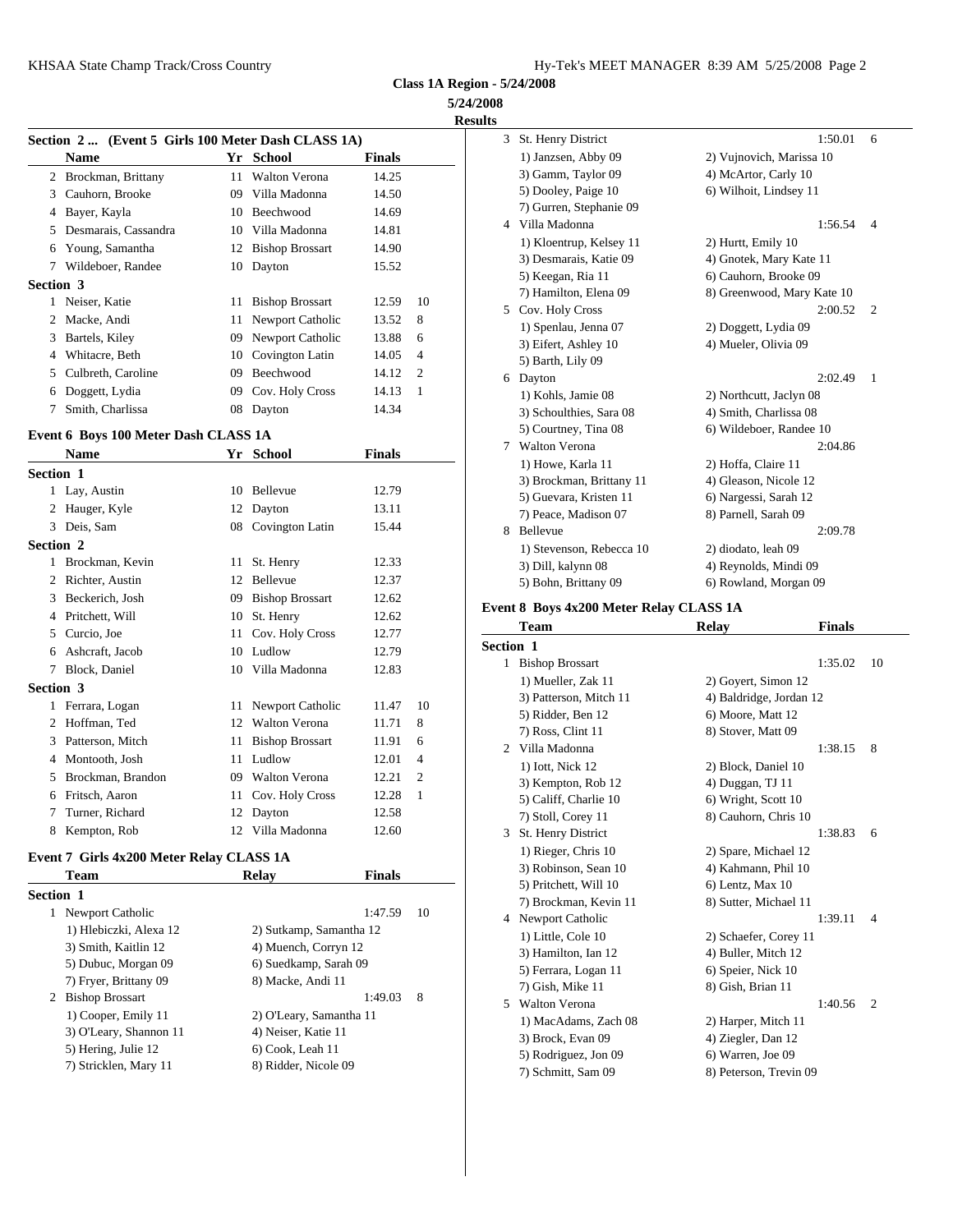**5/24/2008 Results**

|                  | Section 2 (Event 5 Girls 100 Meter Dash CLASS 1A) |     |                      |               |                | $\mathcal{F}$ | St. He              |
|------------------|---------------------------------------------------|-----|----------------------|---------------|----------------|---------------|---------------------|
|                  | Name                                              |     | Yr School            | <b>Finals</b> |                |               | 1) Jar              |
|                  | 2 Brockman, Brittany                              | 11  | <b>Walton Verona</b> | 14.25         |                |               | 3) Ga               |
|                  | 3 Cauhorn, Brooke                                 | 09. | Villa Madonna        | 14.50         |                |               | 5) Do               |
| 4                | Bayer, Kayla                                      |     | 10 Beechwood         | 14.69         |                |               | 7) Gu               |
| 5                | Desmarais, Cassandra                              | 10  | Villa Madonna        | 14.81         |                | 4             | Villa <sup>1</sup>  |
| 6                | Young, Samantha                                   |     | 12 Bishop Brossart   | 14.90         |                |               | $1)$ Kl             |
| 7                | Wildeboer, Randee                                 |     | 10 Dayton            | 15.52         |                |               | $3)$ De             |
| <b>Section 3</b> |                                                   |     |                      |               |                |               | 5) Ke               |
|                  | Neiser, Katie                                     |     | 11 Bishop Brossart   | 12.59         | 10             |               | 7) Ha               |
|                  | 2 Macke, Andi                                     |     | 11 Newport Catholic  | 13.52         | 8              | 5             | Cov.                |
| 3                | Bartels, Kiley                                    | 09  | Newport Catholic     | 13.88         | 6              |               | $1)$ Sp<br>$3)$ Eif |
|                  | Whitacre, Beth                                    |     | 10 Covington Latin   | 14.05         | $\overline{4}$ |               | 5) Ba               |
| 5.               | Culbreth, Caroline                                | 09  | Beechwood            | 14.12         | $\overline{c}$ | 6.            | Dayto               |
| 6                | Doggett, Lydia                                    | 09  | Cov. Holy Cross      | 14.13         | 1              |               | $1)$ Ko             |
|                  | Smith, Charlissa                                  |     | 08 Dayton            | 14.34         |                |               | 3) Sel              |

### **Event 6 Boys 100 Meter Dash CLASS 1A**

|                  | <b>Name</b>       |    | Yr School              | <b>Finals</b> |                | 11 an c             |
|------------------|-------------------|----|------------------------|---------------|----------------|---------------------|
| <b>Section 1</b> |                   |    |                        |               |                | $1)$ Ho<br>$3)$ Bro |
|                  | 1 Lay, Austin     | 10 | <b>Bellevue</b>        | 12.79         |                | 5) Gu               |
| 2                | Hauger, Kyle      |    | 12 Dayton              | 13.11         |                | $7)$ Pea            |
| 3                | Deis, Sam         |    | 08 Covington Latin     | 15.44         |                | Belley<br>8         |
| Section 2        |                   |    |                        |               |                | $1)$ Ste            |
| 1                | Brockman, Kevin   | 11 | St. Henry              | 12.33         |                | $3)$ Dil            |
| 2                | Richter, Austin   | 12 | <b>Bellevue</b>        | 12.37         |                | 5) Bo               |
| 3                | Beckerich, Josh   | 09 | <b>Bishop Brossart</b> | 12.62         |                |                     |
| 4                | Pritchett, Will   | 10 | St. Henry              | 12.62         |                | Event 8 Bo          |
| 5                | Curcio, Joe       | 11 | Cov. Holy Cross        | 12.77         |                | Tean                |
| 6                | Ashcraft, Jacob   | 10 | Ludlow                 | 12.79         |                | Section 1           |
| 7                | Block, Daniel     | 10 | Villa Madonna          | 12.83         |                | <b>Bisho</b><br>1   |
| Section 3        |                   |    |                        |               |                | 1) M                |
| 1                | Ferrara, Logan    | 11 | Newport Catholic       | 11.47         | 10             | 3) Pat              |
| 2                | Hoffman, Ted      | 12 | <b>Walton Verona</b>   | 11.71         | 8              | 5) Rio<br>7) Ro     |
| 3                | Patterson, Mitch  | 11 | <b>Bishop Brossart</b> | 11.91         | 6              | Villa<br>2          |
| 4                | Montooth, Josh    | 11 | Ludlow                 | 12.01         | $\overline{4}$ | $1)$ Iot            |
| 5                | Brockman, Brandon | 09 | <b>Walton Verona</b>   | 12.21         | $\overline{2}$ | $3)$ Ke             |
| 6                | Fritsch, Aaron    | 11 | Cov. Holy Cross        | 12.28         | 1              | 5) Ca               |
| 7                | Turner, Richard   | 12 | Dayton                 | 12.58         |                | 7) Stc              |
| 8                | Kempton, Rob      |    | 12 Villa Madonna       | 12.60         |                | 3<br>St. He         |

# **Event 7 Girls 4x200 Meter Relay CLASS 1A**

|                  | <b>Team</b>                                                                                                        | <b>Relay</b>                                                                                  | <b>Finals</b> | 710                                                          |
|------------------|--------------------------------------------------------------------------------------------------------------------|-----------------------------------------------------------------------------------------------|---------------|--------------------------------------------------------------|
| <b>Section 1</b> |                                                                                                                    |                                                                                               |               | 5) Pri<br>$7)$ Bro                                           |
| 1                | Newport Catholic<br>1) Hlebiczki, Alexa 12<br>3) Smith, Kaitlin 12<br>5) Dubuc, Morgan 09<br>7) Fryer, Brittany 09 | 2) Sutkamp, Samantha 12<br>4) Muench, Corryn 12<br>6) Suedkamp, Sarah 09<br>8) Macke, Andi 11 | 1:47.59       | 10<br>4 Newp<br>$1)$ Lit<br>3) Ha<br>$5)$ Fer<br>$7)$ Gis    |
|                  | 2 Bishop Brossart<br>1) Cooper, Emily 11<br>3) O'Leary, Shannon 11<br>5) Hering, Julie 12<br>7) Stricklen, Mary 11 | 2) O'Leary, Samantha 11<br>4) Neiser, Katie 11<br>6) Cook, Leah 11<br>8) Ridder, Nicole 09    | 1:49.03       | 8<br>Walto<br>5.<br>$1)$ Ma<br>$3)$ Bro<br>5) Ro<br>$7)$ Sch |

| 3  | St. Henry District       | 1:50.01                    | 6              |
|----|--------------------------|----------------------------|----------------|
|    | 1) Janzsen, Abby 09      | 2) Vujnovich, Marissa 10   |                |
|    | 3) Gamm, Taylor 09       | 4) McArtor, Carly 10       |                |
|    | 5) Dooley, Paige 10      | 6) Wilhoit, Lindsey 11     |                |
|    | 7) Gurren, Stephanie 09  |                            |                |
| 4  | Villa Madonna            | 1:56.54                    | $\overline{4}$ |
|    | 1) Kloentrup, Kelsey 11  | 2) Hurtt, Emily 10         |                |
|    | 3) Desmarais, Katie 09   | 4) Gnotek, Mary Kate 11    |                |
|    | 5) Keegan, Ria 11        | 6) Cauhorn, Brooke 09      |                |
|    | 7) Hamilton, Elena 09    | 8) Greenwood, Mary Kate 10 |                |
| 5. | Cov. Holy Cross          | 2:00.52                    | 2              |
|    | 1) Spenlau, Jenna 07     | 2) Doggett, Lydia 09       |                |
|    | 3) Eifert, Ashley 10     | 4) Mueler, Olivia 09       |                |
|    | 5) Barth, Lily 09        |                            |                |
| 6  | Dayton                   | 2:02.49                    | 1              |
|    | 1) Kohls, Jamie 08       | 2) Northcutt, Jaclyn 08    |                |
|    | 3) Schoulthies, Sara 08  | 4) Smith, Charlissa 08     |                |
|    | 5) Courtney, Tina 08     | 6) Wildeboer, Randee 10    |                |
| 7  | <b>Walton Verona</b>     | 2:04.86                    |                |
|    | 1) Howe, Karla 11        | 2) Hoffa, Claire 11        |                |
|    | 3) Brockman, Brittany 11 | 4) Gleason, Nicole 12      |                |
|    | 5) Guevara, Kristen 11   | 6) Nargessi, Sarah 12      |                |
|    | 7) Peace, Madison 07     | 8) Parnell, Sarah 09       |                |
| 8  | Bellevue                 | 2:09.78                    |                |
|    | 1) Stevenson, Rebecca 10 | 2) diodato, leah 09        |                |
|    | 3) Dill, kalynn 08       | 4) Reynolds, Mindi 09      |                |
|    | 5) Bohn, Brittany 09     | 6) Rowland, Morgan 09      |                |

# **Event 8 Boys 4x200 Meter Relay CLASS 1A**

|                  | Team                   | <b>Relay</b>            | <b>Finals</b> |                |
|------------------|------------------------|-------------------------|---------------|----------------|
| <b>Section 1</b> |                        |                         |               |                |
|                  | 1 Bishop Brossart      |                         | 1:35.02       | 10             |
|                  | 1) Mueller, Zak 11     | 2) Goyert, Simon 12     |               |                |
|                  | 3) Patterson, Mitch 11 | 4) Baldridge, Jordan 12 |               |                |
|                  | 5) Ridder, Ben 12      | 6) Moore, Matt 12       |               |                |
|                  | 7) Ross, Clint 11      | 8) Stover, Matt 09      |               |                |
| 2                | Villa Madonna          |                         | 1:38.15       | 8              |
|                  | 1) Iott, Nick 12       | 2) Block, Daniel 10     |               |                |
|                  | 3) Kempton, Rob 12     | 4) Duggan, TJ 11        |               |                |
|                  | 5) Califf, Charlie 10  | 6) Wright, Scott 10     |               |                |
|                  | 7) Stoll, Corey 11     | 8) Cauhorn, Chris 10    |               |                |
| 3                | St. Henry District     |                         | 1:38.83       | 6              |
|                  | 1) Rieger, Chris 10    | 2) Spare, Michael 12    |               |                |
|                  | 3) Robinson, Sean 10   | 4) Kahmann, Phil 10     |               |                |
|                  | 5) Pritchett, Will 10  | 6) Lentz, Max 10        |               |                |
|                  | 7) Brockman, Kevin 11  | 8) Sutter, Michael 11   |               |                |
| 4                | Newport Catholic       |                         | 1:39.11       | 4              |
|                  | 1) Little, Cole 10     | 2) Schaefer, Corey 11   |               |                |
|                  | 3) Hamilton, Ian 12    | 4) Buller, Mitch 12     |               |                |
|                  | 5) Ferrara, Logan 11   | 6) Speier, Nick 10      |               |                |
|                  | 7) Gish, Mike 11       | 8) Gish, Brian 11       |               |                |
| 5                | <b>Walton Verona</b>   |                         | 1:40.56       | $\overline{2}$ |
|                  | 1) MacAdams, Zach 08   | 2) Harper, Mitch 11     |               |                |
|                  | 3) Brock, Evan 09      | 4) Ziegler, Dan 12      |               |                |
|                  | 5) Rodriguez, Jon 09   | 6) Warren, Joe 09       |               |                |
|                  | 7) Schmitt, Sam 09     | 8) Peterson, Trevin 09  |               |                |
|                  |                        |                         |               |                |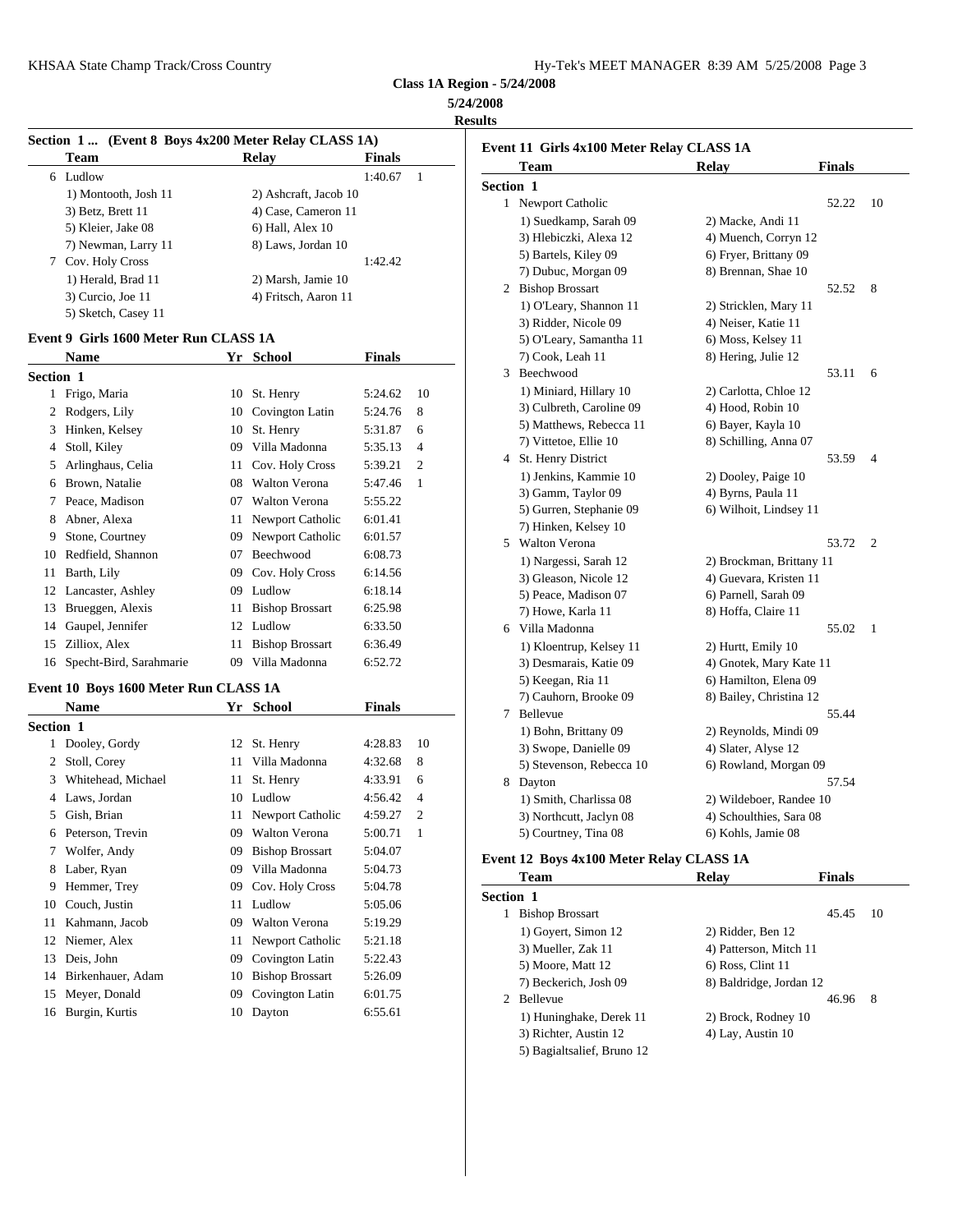| KHSAA State Champ Track/Cross Country | Hy-Tek's MEET MANAGER 8:39 AM 5/25/2008 Page 3 |
|---------------------------------------|------------------------------------------------|
|---------------------------------------|------------------------------------------------|

# **5/24/2008**

**Results**

|           | Section 1  (Event 8 Boys 4x200 Meter Relay CLASS 1A) |    |                         |               |                | Event 11 G                 |
|-----------|------------------------------------------------------|----|-------------------------|---------------|----------------|----------------------------|
|           | Team                                                 |    | <b>Relay</b>            | <b>Finals</b> |                | Tean                       |
|           | 6 Ludlow                                             |    |                         | 1:40.67       | $\mathbf{1}$   |                            |
|           | 1) Montooth, Josh 11                                 |    | 2) Ashcraft, Jacob 10   |               |                | Section 1                  |
|           | 3) Betz, Brett 11                                    |    | 4) Case, Cameron 11     |               |                | 1 Newp                     |
|           | 5) Kleier, Jake 08                                   |    | 6) Hall, Alex 10        |               |                | $1)$ Su                    |
|           | 7) Newman, Larry 11                                  |    | 8) Laws, Jordan 10      |               |                | $3)$ Hle                   |
| 7         | Cov. Holy Cross                                      |    |                         | 1:42.42       |                | 5) Ba                      |
|           | 1) Herald, Brad 11                                   |    | 2) Marsh, Jamie 10      |               |                | 7) Du<br><b>Bisho</b><br>2 |
|           | 3) Curcio, Joe 11                                    |    | 4) Fritsch, Aaron 11    |               |                |                            |
|           | 5) Sketch, Casey 11                                  |    |                         |               |                | $1)$ O'l                   |
|           | Event 9 Girls 1600 Meter Run CLASS 1A                |    |                         |               |                | 3) Rio<br>5) O'I           |
|           | <b>Name</b>                                          |    | Yr School               | <b>Finals</b> |                | 7) Co                      |
|           |                                                      |    |                         |               |                | 3<br>Beech                 |
| Section 1 |                                                      |    |                         |               |                | $1)$ Mi                    |
| 1         | Frigo, Maria                                         | 10 | St. Henry               | 5:24.62       | 10             | $3)$ Cu                    |
| 2         | Rodgers, Lily                                        | 10 | Covington Latin         | 5:24.76       | 8              | 5) Ma                      |
| 3         | Hinken, Kelsey                                       | 10 | St. Henry               | 5:31.87       | 6              | 7) Vit                     |
| 4         | Stoll, Kiley                                         | 09 | Villa Madonna           | 5:35.13       | 4              | St. He<br>4                |
| 5         | Arlinghaus, Celia                                    | 11 | Cov. Holy Cross         | 5:39.21       | $\overline{2}$ | $1)$ Jer                   |
| 6         | Brown, Natalie                                       |    | 08 Walton Verona        | 5:47.46       | 1              | 3) Ga                      |
| 7         | Peace, Madison                                       | 07 | Walton Verona           | 5:55.22       |                | 5) Gu                      |
| 8         | Abner, Alexa                                         | 11 | Newport Catholic        | 6:01.41       |                | $7)$ Hii                   |
| 9         | Stone, Courtney                                      | 09 | Newport Catholic        | 6:01.57       |                | Walto<br>5                 |
| 10        | Redfield, Shannon                                    | 07 | Beechwood               | 6:08.73       |                | 1) Na                      |
| 11        | Barth, Lily                                          | 09 | Cov. Holy Cross         | 6:14.56       |                | 3) Gle                     |
| 12        | Lancaster, Ashley                                    | 09 | Ludlow                  | 6:18.14       |                | $5)$ Pea                   |
| 13        | Brueggen, Alexis                                     | 11 | <b>Bishop Brossart</b>  | 6:25.98       |                | 7) Ho                      |
| 14        | Gaupel, Jennifer                                     | 12 | Ludlow                  | 6:33.50       |                | 6 Villa                    |
| 15        | Zilliox, Alex                                        | 11 | <b>Bishop Brossart</b>  | 6:36.49       |                | $1)$ Kl                    |
| 16        | Specht-Bird, Sarahmarie                              | 09 | Villa Madonna           | 6:52.72       |                | $3)$ De                    |
|           |                                                      |    | $\sim$<br>$\sim$ $\sim$ |               |                | 5) Ke                      |

### **Event 10 Boys 1600 Meter Run CLASS 1A**

|                  | <b>Name</b>        |    | Yr School              | <b>Finals</b> |                | 77 Ca<br>Belley<br>7 |
|------------------|--------------------|----|------------------------|---------------|----------------|----------------------|
| <b>Section 1</b> |                    |    |                        |               |                | $1)$ Bo              |
| 1                | Dooley, Gordy      |    | 12 St. Henry           | 4:28.83       | 10             | $3)$ Sw              |
| 2                | Stoll, Corey       | 11 | Villa Madonna          | 4:32.68       | 8              | 5) Ste               |
| 3                | Whitehead, Michael | 11 | St. Henry              | 4:33.91       | 6              | 8<br>Dayto           |
|                  | Laws, Jordan       | 10 | Ludlow                 | 4:56.42       | $\overline{4}$ | $1)$ Sm              |
| 5                | Gish, Brian        |    | 11 Newport Catholic    | 4:59.27       | $\overline{2}$ | 3) No                |
| 6                | Peterson, Trevin   | 09 | <b>Walton Verona</b>   | 5:00.71       | 1              | 5) Co                |
| 7                | Wolfer, Andy       | 09 | <b>Bishop Brossart</b> | 5:04.07       |                | Event 12 B           |
| 8                | Laber, Ryan        | 09 | Villa Madonna          | 5:04.73       |                | Tean                 |
| 9                | Hemmer, Trey       | 09 | Cov. Holy Cross        | 5:04.78       |                |                      |
| 10               | Couch, Justin      | 11 | Ludlow                 | 5:05.06       |                | Section 1            |
| 11               | Kahmann, Jacob     | 09 | <b>Walton Verona</b>   | 5:19.29       |                | <b>Bisho</b>         |
| 12               | Niemer, Alex       | 11 | Newport Catholic       | 5:21.18       |                | $1)$ Go<br>$3)$ Mu   |
| 13               | Deis, John         | 09 | Covington Latin        | 5:22.43       |                | 5) Mo                |
| 14               | Birkenhauer, Adam  | 10 | <b>Bishop Brossart</b> | 5:26.09       |                | 7) Be                |
| 15               | Meyer, Donald      | 09 | Covington Latin        | 6:01.75       |                | Belley<br>2          |
|                  | 16 Burgin, Kurtis  |    | 10 Dayton              | 6:55.61       |                | 1) Hu                |

| <b>Team</b>              | Relay                    | <b>Finals</b> |                |
|--------------------------|--------------------------|---------------|----------------|
| <b>Section 1</b>         |                          |               |                |
| 1 Newport Catholic       |                          | 52.22         | 10             |
| 1) Suedkamp, Sarah 09    | 2) Macke, Andi 11        |               |                |
| 3) Hlebiczki, Alexa 12   | 4) Muench, Corryn 12     |               |                |
| 5) Bartels, Kiley 09     | 6) Fryer, Brittany 09    |               |                |
| 7) Dubuc, Morgan 09      | 8) Brennan, Shae 10      |               |                |
| 2 Bishop Brossart        |                          | 52.52         | 8              |
| 1) O'Leary, Shannon 11   | 2) Stricklen, Mary 11    |               |                |
| 3) Ridder, Nicole 09     | 4) Neiser, Katie 11      |               |                |
| 5) O'Leary, Samantha 11  | 6) Moss, Kelsey 11       |               |                |
| 7) Cook, Leah 11         | 8) Hering, Julie 12      |               |                |
| 3 Beechwood              |                          | 53.11         | 6              |
| 1) Miniard, Hillary 10   | 2) Carlotta, Chloe 12    |               |                |
| 3) Culbreth, Caroline 09 | 4) Hood, Robin 10        |               |                |
| 5) Matthews, Rebecca 11  | 6) Bayer, Kayla 10       |               |                |
| 7) Vittetoe, Ellie 10    | 8) Schilling, Anna 07    |               |                |
| 4 St. Henry District     |                          | 53.59         | $\overline{4}$ |
| 1) Jenkins, Kammie 10    | 2) Dooley, Paige 10      |               |                |
| 3) Gamm, Taylor 09       | 4) Byrns, Paula 11       |               |                |
| 5) Gurren, Stephanie 09  | 6) Wilhoit, Lindsey 11   |               |                |
| 7) Hinken, Kelsey 10     |                          |               |                |
| 5 Walton Verona          |                          | 53.72         | 2              |
| 1) Nargessi, Sarah 12    | 2) Brockman, Brittany 11 |               |                |
| 3) Gleason, Nicole 12    | 4) Guevara, Kristen 11   |               |                |
| 5) Peace, Madison 07     | 6) Parnell, Sarah 09     |               |                |
| 7) Howe, Karla 11        | 8) Hoffa, Claire 11      |               |                |
| 6 Villa Madonna          |                          | 55.02         | 1              |
| 1) Kloentrup, Kelsey 11  | 2) Hurtt, Emily 10       |               |                |
| 3) Desmarais, Katie 09   | 4) Gnotek, Mary Kate 11  |               |                |
| 5) Keegan, Ria 11        | 6) Hamilton, Elena 09    |               |                |
| 7) Cauhorn, Brooke 09    | 8) Bailey, Christina 12  |               |                |
| 7 Bellevue               |                          | 55.44         |                |
| 1) Bohn, Brittany 09     | 2) Reynolds, Mindi 09    |               |                |
| 3) Swope, Danielle 09    | 4) Slater, Alyse 12      |               |                |
| 5) Stevenson, Rebecca 10 | 6) Rowland, Morgan 09    |               |                |
| 8 Dayton                 |                          | 57.54         |                |
| 1) Smith, Charlissa 08   | 2) Wildeboer, Randee 10  |               |                |
| 3) Northcutt, Jaclyn 08  | 4) Schoulthies, Sara 08  |               |                |
| 5) Courtney, Tina 08     | 6) Kohls, Jamie 08       |               |                |

# **Event 12 Boys 4x100 Meter Relay CLASS 1A**

|                  | Team                       | Relay                   | <b>Finals</b> |    |
|------------------|----------------------------|-------------------------|---------------|----|
| <b>Section 1</b> |                            |                         |               |    |
|                  | <b>Bishop Brossart</b>     |                         | 45.45         | 10 |
|                  | 1) Goyert, Simon 12        | 2) Ridder, Ben 12       |               |    |
|                  | 3) Mueller, Zak 11         | 4) Patterson, Mitch 11  |               |    |
|                  | 5) Moore, Matt 12          | $6$ ) Ross, Clint 11    |               |    |
|                  | 7) Beckerich, Josh 09      | 8) Baldridge, Jordan 12 |               |    |
|                  | 2 Bellevue                 |                         | 46.96         | 8  |
|                  | 1) Huninghake, Derek 11    | 2) Brock, Rodney 10     |               |    |
|                  | 3) Richter, Austin 12      | 4) Lay, Austin 10       |               |    |
|                  | 5) Bagialtsalief, Bruno 12 |                         |               |    |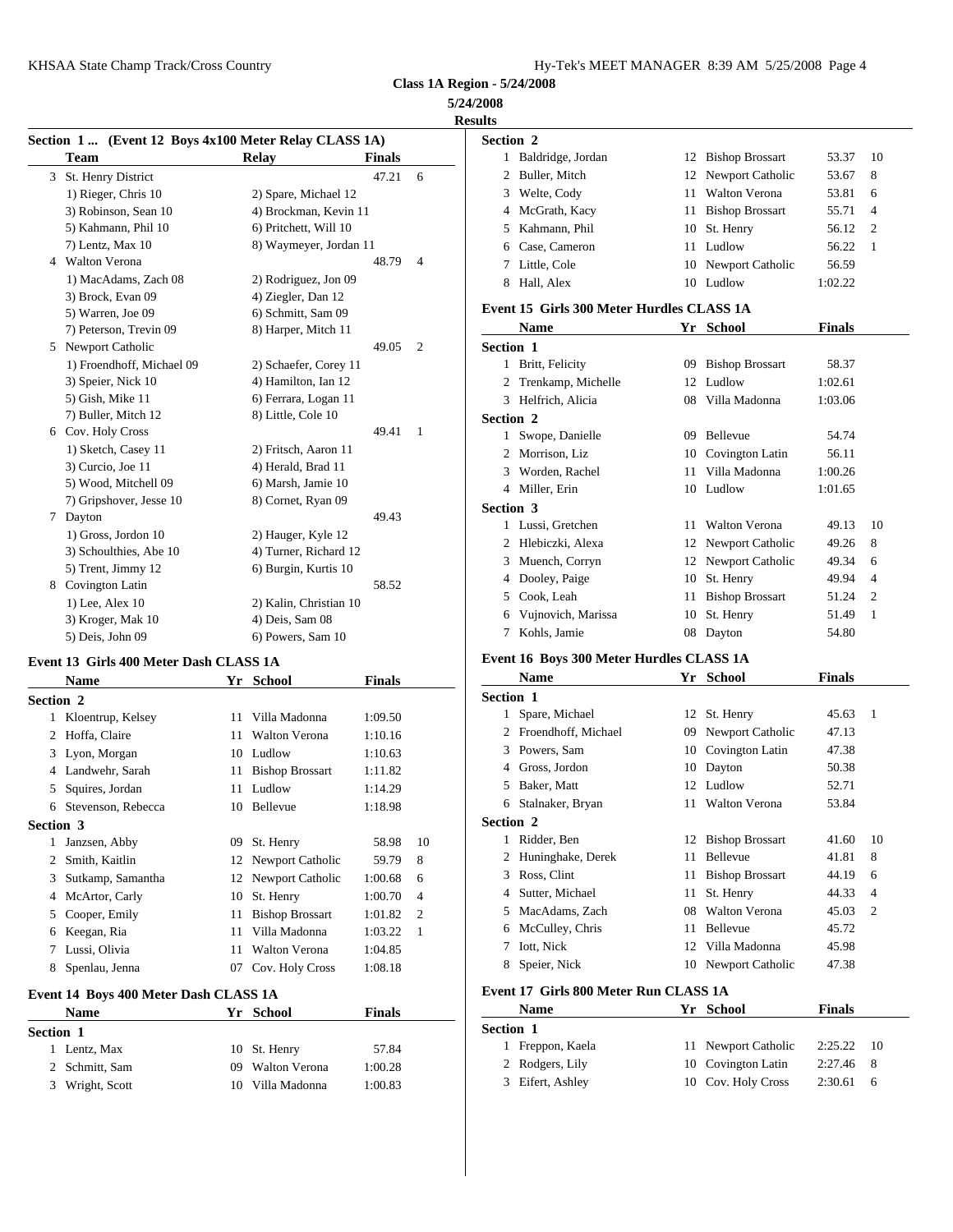**5/24/2008**

|    | Section 1 (Event 12 Boys 4x100 Meter Relay CLASS 1A) |                        |               |                | Section 2              |
|----|------------------------------------------------------|------------------------|---------------|----------------|------------------------|
|    | Team                                                 | <b>Relay</b>           | <b>Finals</b> |                | Bald<br>1              |
| 3  | St. Henry District                                   |                        | 47.21         | 6              | Bull<br>$\overline{c}$ |
|    | 1) Rieger, Chris 10                                  | 2) Spare, Michael 12   |               |                | Wel<br>3               |
|    | 3) Robinson, Sean 10                                 | 4) Brockman, Kevin 11  |               |                | McC<br>4               |
|    | 5) Kahmann, Phil 10                                  | 6) Pritchett, Will 10  |               |                | Kah<br>5               |
|    | 7) Lentz, Max 10                                     | 8) Waymeyer, Jordan 11 |               |                | Case                   |
|    | 4 Walton Verona                                      |                        | 48.79         | $\overline{4}$ | Littl                  |
|    | 1) MacAdams, Zach 08                                 | 2) Rodriguez, Jon 09   |               |                | Hall<br>8              |
|    | 3) Brock, Evan 09                                    | 4) Ziegler, Dan 12     |               |                |                        |
|    | 5) Warren, Joe 09                                    | 6) Schmitt, Sam 09     |               |                | Event 15               |
|    | 7) Peterson, Trevin 09                               | 8) Harper, Mitch 11    |               |                | Nan                    |
| 5. | Newport Catholic                                     |                        | 49.05         | $\overline{2}$ | Section 1              |
|    | 1) Froendhoff, Michael 09                            | 2) Schaefer, Corey 11  |               |                | Britt<br>1             |
|    | 3) Speier, Nick 10                                   | 4) Hamilton, Ian 12    |               |                | Tren                   |
|    | 5) Gish, Mike 11                                     | 6) Ferrara, Logan 11   |               |                | Helf<br>3              |
|    | 7) Buller, Mitch 12                                  | 8) Little, Cole 10     |               |                | Section 2              |
| 6  | Cov. Holy Cross                                      |                        | 49.41         | $\mathbf{1}$   | Swo<br>$\mathbf{1}$    |
|    | 1) Sketch, Casey 11                                  | 2) Fritsch, Aaron 11   |               |                | Mor<br>$\overline{c}$  |
|    | 3) Curcio, Joe 11                                    | 4) Herald, Brad 11     |               |                | Wor<br>3               |
|    | 5) Wood, Mitchell 09                                 | 6) Marsh, Jamie 10     |               |                | Mill<br>4              |
|    | 7) Gripshover, Jesse 10                              | 8) Cornet, Ryan 09     |               |                | Section 3              |
| 7  | Dayton                                               |                        | 49.43         |                | Luss<br>1              |
|    | 1) Gross, Jordon 10                                  | 2) Hauger, Kyle 12     |               |                | Hleb<br>$\overline{c}$ |
|    | 3) Schoulthies, Abe 10                               | 4) Turner, Richard 12  |               |                | Mue                    |
|    | 5) Trent, Jimmy 12                                   | 6) Burgin, Kurtis 10   |               |                | Doo<br>4               |
| 8  | Covington Latin                                      |                        | 58.52         |                |                        |
|    | 1) Lee, Alex 10                                      | 2) Kalin, Christian 10 |               |                | 5<br>Cool              |
|    | 3) Kroger, Mak 10                                    | 4) Deis, Sam 08        |               |                | Vujr<br>6              |
|    | 5) Deis, John 09                                     | 6) Powers, Sam 10      |               |                | Koh                    |

#### **Event 13 Girls 400 Meter Dash CLASS 1A**

|                  | <b>Name</b>         | Yr | <b>School</b>          | <b>Finals</b> |                |                | Nam              |
|------------------|---------------------|----|------------------------|---------------|----------------|----------------|------------------|
| <b>Section 2</b> |                     |    |                        |               |                | Section 1      |                  |
|                  | 1 Kloentrup, Kelsey |    | 11 Villa Madonna       | 1:09.50       |                | 1              | Spare            |
| 2                | Hoffa, Claire       | 11 | <b>Walton Verona</b>   | 1:10.16       |                | $\mathfrak{D}$ | Froen            |
|                  | 3 Lyon, Morgan      | 10 | Ludlow                 | 1:10.63       |                | 3              | Powe             |
| 4                | Landwehr, Sarah     |    | 11 Bishop Brossart     | 1:11.82       |                | 4              | Gross            |
| 5.               | Squires, Jordan     |    | 11 Ludlow              | 1:14.29       |                | 5              | Baker            |
| 6                | Stevenson, Rebecca  |    | 10 Bellevue            | 1:18.98       |                | 6              | Stalna           |
| <b>Section 3</b> |                     |    |                        |               |                | Section 2      |                  |
| 1                | Janzsen, Abby       | 09 | St. Henry              | 58.98         | 10             |                | Ridde            |
| 2                | Smith, Kaitlin      |    | 12 Newport Catholic    | 59.79         | 8              | 2              | Hunir            |
| 3                | Sutkamp, Samantha   |    | 12 Newport Catholic    | 1:00.68       | 6              | 3              | Ross,            |
| 4                | McArtor, Carly      | 10 | St. Henry              | 1:00.70       | $\overline{4}$ | 4              | Sutter           |
| 5                | Cooper, Emily       | 11 | <b>Bishop Brossart</b> | 1:01.82       | $\overline{2}$ | 5              | MacA             |
| 6                | Keegan, Ria         | 11 | Villa Madonna          | 1:03.22       | $\mathbf{1}$   | 6              | McCu             |
| 7                | Lussi, Olivia       |    | 11 Walton Verona       | 1:04.85       |                |                | Iott, N          |
|                  | Spenlau, Jenna      |    | 07 Cov. Holy Cross     | 1:08.18       |                | 8              | Speie            |
|                  |                     |    |                        |               |                | $\mathbf{m}$   | $\sim$ 15 $\sim$ |

# **Event 14 Boys 400 Meter Dash CLASS 1A**

|         | <b>Name</b>    | Yr | School               | <b>Finals</b> |                |
|---------|----------------|----|----------------------|---------------|----------------|
| Section |                |    |                      |               | <b>Section</b> |
|         | Lentz, Max     |    | 10 St. Henry         | 57.84         |                |
|         | 2 Schmitt, Sam | 09 | <b>Walton Verona</b> | 1:00.28       |                |
| 3.      | Wright, Scott  |    | Villa Madonna        | 1:00.83       |                |

| <b>Results</b>   |                                               |    |                                |               |                |
|------------------|-----------------------------------------------|----|--------------------------------|---------------|----------------|
| Section 2        |                                               |    |                                |               |                |
|                  | 1 Baldridge, Jordan                           |    | 12 Bishop Brossart             | 53.37         | 10             |
|                  | 2 Buller, Mitch                               |    | 12 Newport Catholic            | 53.67         | 8              |
|                  | 3 Welte, Cody                                 |    | 11 Walton Verona               | 53.81         | 6              |
|                  | 4 McGrath, Kacy                               |    | 11 Bishop Brossart             | 55.71         | $\overline{4}$ |
|                  | 5 Kahmann, Phil                               |    | 10 St. Henry                   | 56.12         | 2              |
|                  | 6 Case, Cameron                               |    | 11 Ludlow                      | 56.22         | 1              |
|                  | 7 Little, Cole                                |    | 10 Newport Catholic            | 56.59         |                |
|                  | 8 Hall, Alex                                  |    | 10 Ludlow                      | 1:02.22       |                |
|                  | Event 15 Girls 300 Meter Hurdles CLASS 1A     |    |                                |               |                |
|                  | <b>Name</b>                                   |    | Yr School                      | Finals        |                |
| <b>Section 1</b> |                                               |    |                                |               |                |
|                  | 1 Britt, Felicity                             |    | 09 Bishop Brossart             | 58.37         |                |
|                  | 2 Trenkamp, Michelle                          |    | 12 Ludlow                      | 1:02.61       |                |
|                  | 3 Helfrich, Alicia                            |    | 08 Villa Madonna               | 1:03.06       |                |
| Section 2        |                                               |    |                                |               |                |
|                  | 1 Swope, Danielle                             |    | 09 Bellevue                    | 54.74         |                |
|                  | 2 Morrison, Liz                               |    | 10 Covington Latin             | 56.11         |                |
|                  | 3 Worden, Rachel                              |    | 11 Villa Madonna               | 1:00.26       |                |
|                  | 4 Miller, Erin                                |    | 10 Ludlow                      | 1:01.65       |                |
| Section 3        |                                               |    |                                |               |                |
|                  | 1 Lussi, Gretchen                             |    | 11 Walton Verona               | 49.13         | 10             |
|                  | 2 Hlebiczki, Alexa                            |    | 12 Newport Catholic            | 49.26         | 8              |
|                  | 3 Muench, Corryn                              |    | 12 Newport Catholic            | 49.34         | 6              |
|                  | 4 Dooley, Paige                               |    | 10 St. Henry                   | 49.94         | $\overline{4}$ |
|                  | 5 Cook, Leah                                  |    | 11 Bishop Brossart             | 51.24         | 2              |
|                  | 6 Vujnovich, Marissa                          |    | 10 St. Henry                   | 51.49         | 1              |
|                  | 7 Kohls, Jamie                                |    | 08 Dayton                      | 54.80         |                |
|                  | Event 16 Boys 300 Meter Hurdles CLASS 1A      |    |                                |               |                |
|                  | <b>Name</b>                                   |    | Yr School                      | <b>Finals</b> |                |
| <b>Section 1</b> |                                               |    |                                |               |                |
|                  | 1 Spare, Michael                              |    | 12 St. Henry                   | 45.63         | 1              |
|                  | 2 Froendhoff, Michael                         |    | 09 Newport Catholic            | 47.13         |                |
|                  | 3 Powers, Sam                                 |    | 10 Covington Latin             | 47.38         |                |
|                  | 4 Gross, Jordon                               |    | 10 Dayton                      | 50.38         |                |
|                  | 5 Baker, Matt                                 |    | 12 Ludlow                      | 52.71         |                |
|                  | 6 Stalnaker, Bryan                            |    | 11 Walton Verona               | 53.84         |                |
|                  |                                               |    |                                |               |                |
|                  |                                               |    |                                |               |                |
| Section 2        |                                               |    |                                | 41.60         | 10             |
|                  | 1 Ridder, Ben                                 | 11 | 12 Bishop Brossart<br>Bellevue | 41.81         | 8              |
|                  | 2 Huninghake, Derek<br>3 Ross, Clint          |    |                                | 44.19         | 6              |
|                  |                                               |    | 11 Bishop Brossart             |               | 4              |
|                  | 4 Sutter, Michael                             |    | 11 St. Henry                   | 44.33         |                |
|                  | 5 MacAdams, Zach                              |    | 08 Walton Verona               | 45.03         | 2              |
|                  | 6 McCulley, Chris                             |    | 11 Bellevue                    | 45.72         |                |
| 7                | Iott, Nick                                    |    | 12 Villa Madonna               | 45.98         |                |
|                  | 8 Speier, Nick                                |    | 10 Newport Catholic            | 47.38         |                |
|                  | Event 17 Girls 800 Meter Run CLASS 1A<br>Name |    | Yr School                      | <b>Finals</b> |                |

| ecuon 1          |                     |           |                 |
|------------------|---------------------|-----------|-----------------|
| 1 Freppon, Kaela | 11 Newport Catholic | 2:25.22   | $\overline{10}$ |
| 2 Rodgers, Lily  | 10 Covington Latin  | 2:27.46 8 |                 |
| 3 Eifert, Ashley | 10 Cov. Holy Cross  | 2:30.61   | - 6             |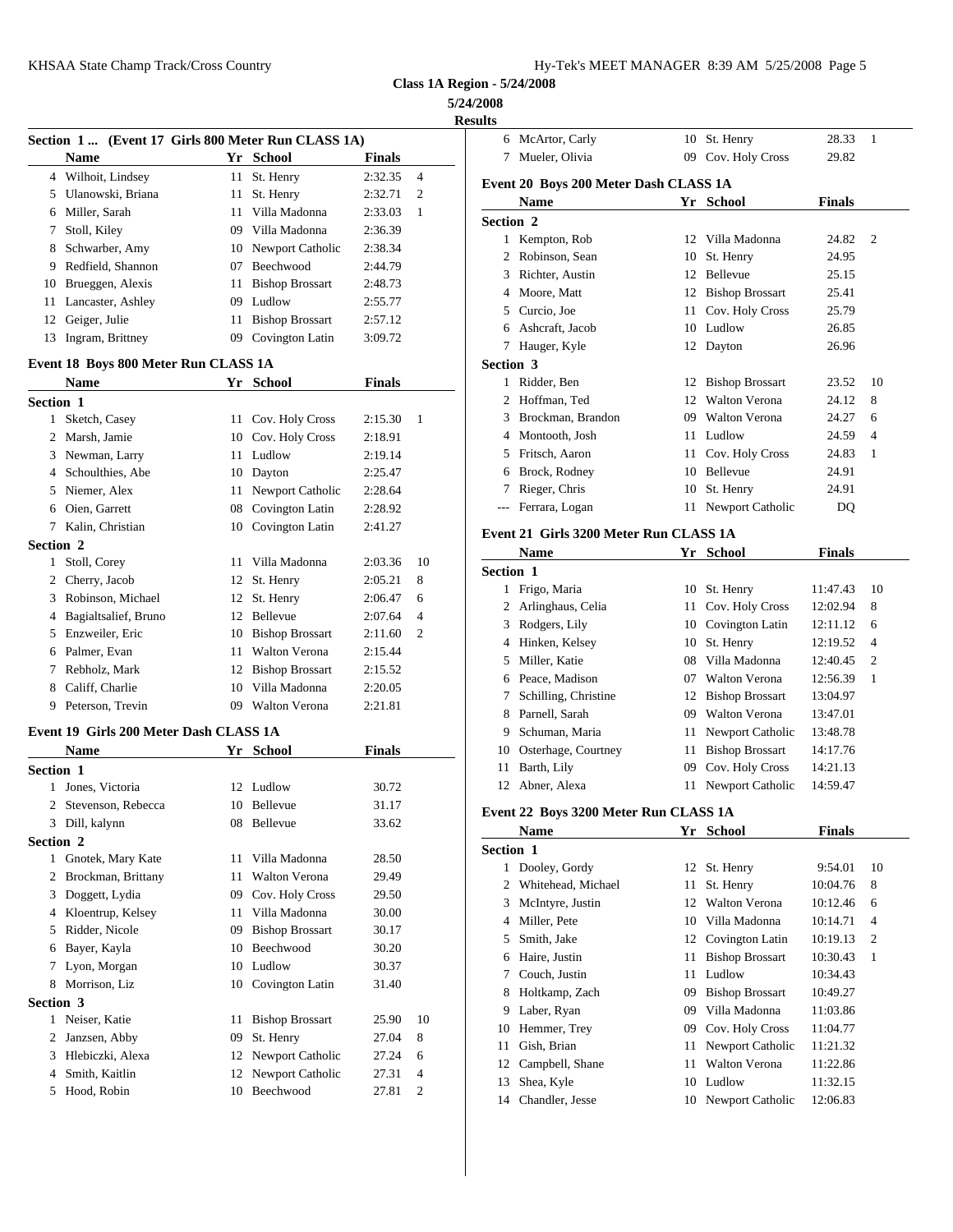| 1y-Tek's MEET MANAGER 8:39 AM 5/25/2008 Page 5 |  |  |  |
|------------------------------------------------|--|--|--|
|------------------------------------------------|--|--|--|

008<br><sup>140</sup>

|                                                                   |                                     |                    |                     | <b>Results</b>                         |                                    |                |                |
|-------------------------------------------------------------------|-------------------------------------|--------------------|---------------------|----------------------------------------|------------------------------------|----------------|----------------|
| Section 1  (Event 17 Girls 800 Meter Run CLASS 1A)<br><b>Name</b> | Yr School                           | <b>Finals</b>      |                     | 6 McArtor, Carly<br>7 Mueler, Olivia   | 10 St. Henry<br>09 Cov. Holy Cross | 28.33<br>29.82 | - 1            |
| 4 Wilhoit, Lindsey                                                | 11 St. Henry                        | 2:32.35            | $\overline{4}$      |                                        |                                    |                |                |
| 5 Ulanowski, Briana                                               | 11 St. Henry                        | 2:32.71            | 2                   | Event 20 Boys 200 Meter Dash CLASS 1A  |                                    |                |                |
| 6 Miller, Sarah                                                   | 11 Villa Madonna                    | 2:33.03            | - 1                 | Name                                   | Yr School                          | <b>Finals</b>  |                |
| 7 Stoll, Kiley                                                    | 09 Villa Madonna                    | 2:36.39            |                     | Section 2                              |                                    |                |                |
| 8 Schwarber, Amy                                                  | 10 Newport Catholic                 | 2:38.34            |                     | 1 Kempton, Rob                         | 12 Villa Madonna                   | 24.82 2        |                |
| 9 Redfield, Shannon                                               | 07 Beechwood                        | 2:44.79            |                     | 2 Robinson, Sean                       | 10 St. Henry                       | 24.95          |                |
| 10 Brueggen, Alexis                                               | 11 Bishop Brossart                  | 2:48.73            |                     | 3 Richter, Austin                      | 12 Bellevue                        | 25.15          |                |
| 11 Lancaster, Ashley                                              | 09 Ludlow                           | 2:55.77            |                     | 4 Moore, Matt                          | 12 Bishop Brossart                 | 25.41          |                |
| 12 Geiger, Julie                                                  | 11 Bishop Brossart                  | 2:57.12            |                     | 5 Curcio, Joe                          | 11 Cov. Holy Cross                 | 25.79          |                |
| 13 Ingram, Brittney                                               | 09 Covington Latin                  | 3:09.72            |                     | 6 Ashcraft, Jacob                      | 10 Ludlow                          | 26.85          |                |
|                                                                   |                                     |                    |                     | 7 Hauger, Kyle                         | 12 Dayton                          | 26.96          |                |
| Event 18 Boys 800 Meter Run CLASS 1A                              |                                     |                    |                     | Section 3                              |                                    |                |                |
| <b>Name</b>                                                       | Yr School                           | <b>Finals</b>      |                     | 1 Ridder, Ben                          | 12 Bishop Brossart                 | 23.52          | -10            |
| Section 1                                                         |                                     |                    |                     | 2 Hoffman, Ted                         | 12 Walton Verona                   | 24.12          | 8              |
| 1 Sketch, Casey                                                   | 11 Cov. Holy Cross                  | $2:15.30 \quad 1$  |                     | 3 Brockman, Brandon                    | 09 Walton Verona                   | 24.27          | -6             |
| 2 Marsh, Jamie                                                    | 10 Cov. Holy Cross                  | 2:18.91            |                     | 4 Montooth, Josh                       | 11 Ludlow                          | 24.59          | $\overline{4}$ |
| 3 Newman, Larry                                                   | 11 Ludlow                           | 2:19.14            |                     | 5 Fritsch, Aaron                       | 11 Cov. Holy Cross                 | 24.83          | $\overline{1}$ |
| 4 Schoulthies, Abe                                                | 10 Dayton                           | 2:25.47            |                     | 6 Brock, Rodney                        | 10 Bellevue                        | 24.91          |                |
| 5 Niemer, Alex                                                    | 11 Newport Catholic                 | 2:28.64            |                     | 7 Rieger, Chris                        | 10 St. Henry                       | 24.91          |                |
| 6 Oien, Garrett                                                   | 08 Covington Latin                  | 2:28.92            |                     | --- Ferrara, Logan                     | 11 Newport Catholic                | DQ.            |                |
| 7 Kalin, Christian                                                | 10 Covington Latin                  | 2:41.27            |                     | Event 21 Girls 3200 Meter Run CLASS 1A |                                    |                |                |
| Section 2<br>1 Stoll, Corey                                       | 11 Villa Madonna                    | 2:03.36            | -10                 | <b>Name</b>                            | Yr School                          | <b>Finals</b>  |                |
|                                                                   |                                     |                    |                     | Section 1                              |                                    |                |                |
| 2 Cherry, Jacob<br>3 Robinson, Michael                            | 12 St. Henry                        | 2:05.21            | 8                   | 1 Frigo, Maria                         | 10 St. Henry                       | 11:47.43       | -10            |
| 4 Bagialtsalief, Bruno                                            | 12 St. Henry<br>12 Bellevue         | 2:06.47<br>2:07.64 | 6<br>$\overline{4}$ | 2 Arlinghaus, Celia                    | 11 Cov. Holy Cross                 | 12:02.94       | 8              |
| 5 Enzweiler, Eric                                                 | 10 Bishop Brossart                  | 2:11.60            | 2                   | 3 Rodgers, Lily                        | 10 Covington Latin                 | 12:11.12       | -6             |
| 6 Palmer, Evan                                                    | 11 Walton Verona                    | 2:15.44            |                     | 4 Hinken, Kelsey                       | 10 St. Henry                       | 12:19.52       | $\overline{4}$ |
| 7 Rebholz, Mark                                                   | 12 Bishop Brossart                  | 2:15.52            |                     | 5 Miller, Katie                        | 08 Villa Madonna                   | 12:40.45       | 2              |
| 8 Califf, Charlie                                                 | 10 Villa Madonna                    | 2:20.05            |                     | 6 Peace, Madison                       | 07 Walton Verona                   | 12:56.39       | - 1            |
| 9 Peterson, Trevin                                                | 09 Walton Verona                    | 2:21.81            |                     | 7 Schilling, Christine                 | 12 Bishop Brossart                 | 13:04.97       |                |
|                                                                   |                                     |                    |                     | 8 Parnell, Sarah                       | 09 Walton Verona                   | 13:47.01       |                |
| Event 19 Girls 200 Meter Dash CLASS 1A                            |                                     |                    |                     | Schuman, Maria<br>9                    | 11 Newport Catholic                | 13:48.78       |                |
|                                                                   | Yr School                           | <b>Finals</b>      |                     | 10 Osterhage, Courtney                 | 11 Bishop Brossart                 | 14:17.76       |                |
| <b>Name</b>                                                       |                                     |                    |                     | 11 Barth, Lily                         | 09 Cov. Holy Cross                 | 14:21.13       |                |
| Section 1                                                         |                                     |                    |                     | 12 Abner, Alexa                        |                                    | 14:59.47       |                |
| 1 Jones, Victoria                                                 | 12 Ludlow                           | 30.72              |                     |                                        | 11 Newport Catholic                |                |                |
| 2 Stevenson, Rebecca                                              | 10 Bellevue                         | 31.17              |                     | Event 22 Boys 3200 Meter Run CLASS 1A  |                                    |                |                |
| 3 Dill, kalynn                                                    | 08 Bellevue                         | 33.62              |                     | Name                                   | Yr School                          | <b>Finals</b>  |                |
| Section 2                                                         |                                     |                    |                     | Section 1                              |                                    |                |                |
| 1 Gnotek, Mary Kate                                               | 11 Villa Madonna                    | 28.50              |                     | 1 Dooley, Gordy                        | 12 St. Henry                       | 9:54.01        | -10            |
| 2 Brockman, Brittany                                              | 11 Walton Verona                    | 29.49              |                     | 2 Whitehead, Michael                   | 11 St. Henry                       | 10:04.76       | - 8            |
| 3 Doggett, Lydia                                                  | 09 Cov. Holy Cross                  | 29.50              |                     | 3 McIntyre, Justin                     | 12 Walton Verona                   | 10:12.46       | - 6            |
| 4 Kloentrup, Kelsey                                               | 11 Villa Madonna                    | 30.00              |                     | 4 Miller, Pete                         | 10 Villa Madonna                   | 10:14.71       | $\overline{4}$ |
| 5 Ridder, Nicole                                                  | 09 Bishop Brossart                  | 30.17              |                     | 5 Smith, Jake                          | 12 Covington Latin                 | 10:19.13       | -2             |
| 6 Bayer, Kayla                                                    | 10 Beechwood                        | 30.20              |                     | 6 Haire, Justin                        | 11 Bishop Brossart                 | 10:30.43       | -1             |
| 7 Lyon, Morgan                                                    | 10 Ludlow                           | 30.37              |                     | 7 Couch, Justin                        | 11 Ludlow                          | 10:34.43       |                |
| 8 Morrison, Liz                                                   | 10 Covington Latin                  | 31.40              |                     | 8 Holtkamp, Zach                       | 09 Bishop Brossart                 | 10:49.27       |                |
|                                                                   |                                     |                    |                     | 9 Laber, Ryan                          | 09 Villa Madonna                   | 11:03.86       |                |
| 1 Neiser, Katie                                                   | 11 Bishop Brossart                  | 25.90              | 10                  | 10 Hemmer, Trey                        | 09 Cov. Holy Cross                 | 11:04.77       |                |
| Section 3<br>2 Janzsen, Abby                                      | 09 St. Henry                        | 27.04              | 8                   | 11 Gish, Brian                         | 11 Newport Catholic                | 11:21.32       |                |
| 3 Hlebiczki, Alexa                                                | 12 Newport Catholic                 | 27.24              | 6                   | 12 Campbell, Shane                     | 11 Walton Verona                   | 11:22.86       |                |
| 4 Smith, Kaitlin<br>5 Hood, Robin                                 | 12 Newport Catholic<br>10 Beechwood | 27.31<br>27.81 2   | $\overline{4}$      | 13 Shea, Kyle                          | 10 Ludlow                          | 11:32.15       |                |

| Results   |                                        |    |                        |               |    |
|-----------|----------------------------------------|----|------------------------|---------------|----|
|           | 6 McArtor, Carly                       |    | 10 St. Henry           | 28.33         | 1  |
|           | 7 Mueler, Olivia                       |    | 09 Cov. Holy Cross     | 29.82         |    |
|           | Event 20 Boys 200 Meter Dash CLASS 1A  |    |                        |               |    |
|           | <b>Name</b>                            |    | Yr School              | <b>Finals</b> |    |
| Section 2 |                                        |    |                        |               |    |
|           | 1 Kempton, Rob                         |    | 12 Villa Madonna       | 24.82         | 2  |
|           | 2 Robinson, Sean                       |    | 10 St. Henry           | 24.95         |    |
|           | 3 Richter, Austin                      |    | 12 Bellevue            | 25.15         |    |
|           | 4 Moore, Matt                          |    | 12 Bishop Brossart     | 25.41         |    |
|           | 5 Curcio, Joe                          |    | 11 Cov. Holy Cross     | 25.79         |    |
|           | 6 Ashcraft, Jacob                      |    | 10 Ludlow              | 26.85         |    |
|           | 7 Hauger, Kyle                         |    | 12 Dayton              | 26.96         |    |
| Section 3 |                                        |    |                        |               |    |
|           | 1 Ridder, Ben                          |    | 12 Bishop Brossart     | 23.52         | 10 |
|           | 2 Hoffman, Ted                         |    | 12 Walton Verona       | 24.12         | 8  |
|           | 3 Brockman, Brandon                    |    | 09 Walton Verona       | 24.27         | 6  |
|           | 4 Montooth, Josh                       |    | 11 Ludlow              | 24.59         | 4  |
|           | 5 Fritsch, Aaron                       |    | 11 Cov. Holy Cross     | 24.83         | 1  |
|           | 6 Brock, Rodney                        |    | 10 Bellevue            | 24.91         |    |
|           | 7 Rieger, Chris                        |    | 10 St. Henry           | 24.91         |    |
| ---       | Ferrara, Logan                         |    | 11 Newport Catholic    | DQ            |    |
|           | Event 21 Girls 3200 Meter Run CLASS 1A |    |                        |               |    |
|           | <b>Name</b>                            |    | Yr School              | <b>Finals</b> |    |
| Section 1 |                                        |    |                        |               |    |
|           | 1 Frigo, Maria                         |    | 10 St. Henry           | 11:47.43      | 10 |
|           | 2 Arlinghaus, Celia                    |    | 11 Cov. Holy Cross     | 12:02.94      | 8  |
|           | 3 Rodgers, Lily                        |    | 10 Covington Latin     | 12:11.12      | 6  |
|           | 4 Hinken, Kelsey                       |    | 10 St. Henry           | 12:19.52      | 4  |
|           | 5 Miller, Katie                        |    | 08 Villa Madonna       | 12:40.45      | 2  |
|           | 6 Peace, Madison                       |    | 07 Walton Verona       | 12:56.39      | 1  |
|           | 7 Schilling, Christine                 |    | 12 Bishop Brossart     | 13:04.97      |    |
|           | 8 Parnell, Sarah                       |    | 09 Walton Verona       | 13:47.01      |    |
| 9         | Schuman, Maria                         |    | 11 Newport Catholic    | 13:48.78      |    |
|           | 10 Osterhage, Courtney                 |    | 11 Bishop Brossart     | 14:17.76      |    |
|           | 11 Barth, Lily                         |    | 09 Cov. Holy Cross     | 14:21.13      |    |
|           | 12 Abner, Alexa                        |    | 11 Newport Catholic    | 14:59.47      |    |
|           | Event 22 Boys 3200 Meter Run CLASS 1A  |    |                        |               |    |
|           | Name                                   |    | Yr School              | <b>Finals</b> |    |
| Section 1 |                                        |    |                        |               |    |
|           | 1 Dooley, Gordy                        | 12 | St. Henry              | 9:54.01       | 10 |
| 2         | Whitehead, Michael                     | 11 | St. Henry              | 10:04.76      | 8  |
| 3         | McIntyre, Justin                       | 12 | Walton Verona          | 10:12.46      | 6  |
| 4         | Miller, Pete                           | 10 | Villa Madonna          | 10:14.71      | 4  |
| 5         | Smith, Jake                            | 12 | Covington Latin        | 10:19.13      | 2  |
| 6         | Haire, Justin                          | 11 | <b>Bishop Brossart</b> | 10:30.43      | 1  |
| 7         | Couch, Justin                          | 11 | Ludlow                 | 10:34.43      |    |
| 8         | Holtkamp, Zach                         | 09 | <b>Bishop Brossart</b> | 10:49.27      |    |
| 9         | Laber, Ryan                            | 09 | Villa Madonna          | 11:03.86      |    |
| 10        | Hemmer, Trey                           | 09 | Cov. Holy Cross        | 11:04.77      |    |
| 11        | Gish, Brian                            | 11 | Newport Catholic       | 11:21.32      |    |
| 12        | Campbell, Shane                        | 11 | Walton Verona          | 11:22.86      |    |
| 13        | Shea, Kyle                             | 10 | Ludlow                 | 11:32.15      |    |
| 14        | Chandler, Jesse                        | 10 | Newport Catholic       | 12:06.83      |    |
|           |                                        |    |                        |               |    |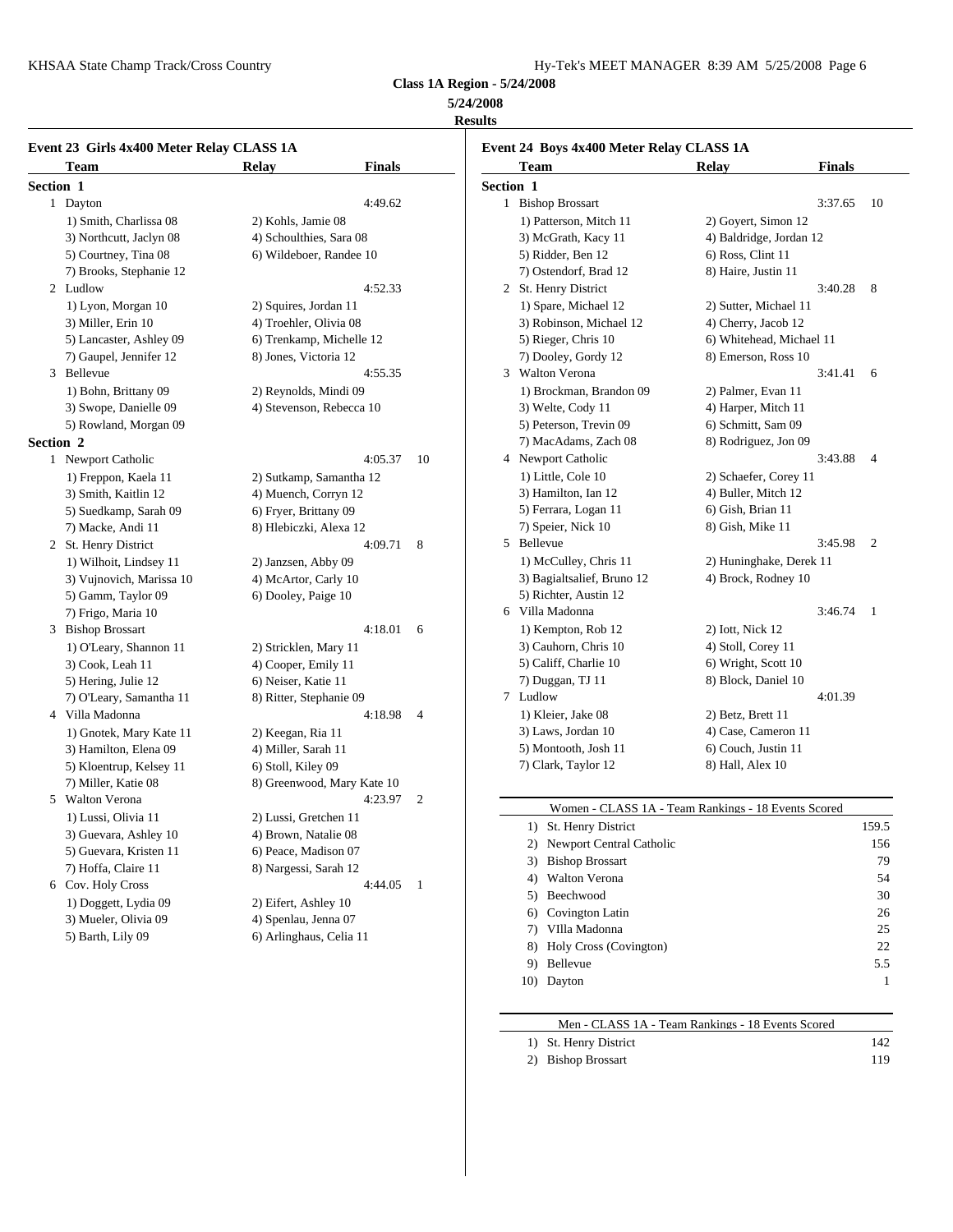KHSAA State Champ Track/Cross Country Hy-Tek's Manager and Text Manager 8:39 AM 572-30 AM 572-2008 Page 6:39 AM 5725-2008 Page 6:39 AM 5725-2008 Page 6:39 AM 5725-2008 Page 6:39 AM 5725-2008 Page 6:39 AM 5725-2008 Page 6:3

| Hy-Tek's MEET MANAGER 8:39 AM 5/25/2008 Page 6 |  |  |  |
|------------------------------------------------|--|--|--|
|------------------------------------------------|--|--|--|

**Class 1A Region - 5/24/2008**

# **5/24/2008**

# **Results**

|           | Event 23 Girls 4x400 Meter Relay CLASS 1A |                            |               |              |            | <b>Event 24 Boys 4x400 M</b> |
|-----------|-------------------------------------------|----------------------------|---------------|--------------|------------|------------------------------|
|           | Team                                      | Relay                      | <b>Finals</b> |              |            | <b>Team</b>                  |
| Section 1 |                                           |                            |               |              | Section 1  |                              |
|           | 1 Dayton                                  |                            | 4:49.62       |              |            | 1 Bishop Brossart            |
|           | 1) Smith, Charlissa 08                    | 2) Kohls, Jamie 08         |               |              |            | 1) Patterson, Mitch          |
|           | 3) Northcutt, Jaclyn 08                   | 4) Schoulthies, Sara 08    |               |              |            | 3) McGrath, Kacy             |
|           | 5) Courtney, Tina 08                      | 6) Wildeboer, Randee 10    |               |              |            | 5) Ridder, Ben 12            |
|           | 7) Brooks, Stephanie 12                   |                            |               |              |            | 7) Ostendorf, Brad           |
|           | 2 Ludlow                                  |                            | 4:52.33       |              |            | 2 St. Henry District         |
|           | 1) Lyon, Morgan 10                        | 2) Squires, Jordan 11      |               |              |            | 1) Spare, Michael            |
|           | 3) Miller, Erin 10                        | 4) Troehler, Olivia 08     |               |              |            | 3) Robinson, Mich            |
|           | 5) Lancaster, Ashley 09                   | 6) Trenkamp, Michelle 12   |               |              |            | 5) Rieger, Chris 10          |
|           | 7) Gaupel, Jennifer 12                    | 8) Jones, Victoria 12      |               |              |            | 7) Dooley, Gordy             |
|           | 3 Bellevue                                |                            | 4:55.35       |              |            | 3 Walton Verona              |
|           | 1) Bohn, Brittany 09                      | 2) Reynolds, Mindi 09      |               |              |            | 1) Brockman, Brar            |
|           | 3) Swope, Danielle 09                     | 4) Stevenson, Rebecca 10   |               |              |            | 3) Welte, Cody 11            |
|           | 5) Rowland, Morgan 09                     |                            |               |              |            | 5) Peterson, Trevir          |
| Section 2 |                                           |                            |               |              |            | 7) MacAdams, Zac             |
|           | 1 Newport Catholic                        |                            | 4:05.37       | 10           |            | 4 Newport Catholic           |
|           | 1) Freppon, Kaela 11                      | 2) Sutkamp, Samantha 12    |               |              |            | 1) Little, Cole 10           |
|           | 3) Smith, Kaitlin 12                      | 4) Muench, Corryn 12       |               |              |            | 3) Hamilton, Ian 12          |
|           | 5) Suedkamp, Sarah 09                     | 6) Fryer, Brittany 09      |               |              |            | 5) Ferrara, Logan 1          |
|           | 7) Macke, Andi 11                         | 8) Hlebiczki, Alexa 12     |               |              |            | 7) Speier, Nick 10           |
|           | 2 St. Henry District                      | 4:09.71<br>8               |               |              | 5 Bellevue |                              |
|           | 1) Wilhoit, Lindsey 11                    | 2) Janzsen, Abby 09        |               |              |            | 1) McCulley, Chri            |
|           | 3) Vujnovich, Marissa 10                  | 4) McArtor, Carly 10       |               |              |            | 3) Bagialtsalief, Br         |
|           | 5) Gamm, Taylor 09                        | 6) Dooley, Paige 10        |               |              |            | 5) Richter, Austin           |
|           | 7) Frigo, Maria 10                        |                            |               |              |            | 6 Villa Madonna              |
|           | 3 Bishop Brossart                         |                            | 4:18.01       | 6            |            | 1) Kempton, Rob 1            |
|           | 1) O'Leary, Shannon 11                    | 2) Stricklen, Mary 11      |               |              |            | 3) Cauhorn, Chris            |
|           | 3) Cook, Leah 11                          | 4) Cooper, Emily 11        |               |              |            | 5) Califf, Charlie 1         |
|           | 5) Hering, Julie 12                       | 6) Neiser, Katie 11        |               |              |            | 7) Duggan, TJ 11             |
|           | 7) O'Leary, Samantha 11                   | 8) Ritter, Stephanie 09    |               |              |            | 7 Ludlow                     |
|           | 4 Villa Madonna                           |                            | 4:18.98       | 4            |            | 1) Kleier, Jake 08           |
|           | 1) Gnotek, Mary Kate 11                   | 2) Keegan, Ria 11          |               |              |            | 3) Laws, Jordan 10           |
|           | 3) Hamilton, Elena 09                     | 4) Miller, Sarah 11        |               |              |            | 5) Montooth, Josh            |
|           | 5) Kloentrup, Kelsey 11                   | 6) Stoll, Kiley 09         |               |              |            | 7) Clark, Taylor 12          |
|           | 7) Miller, Katie 08                       | 8) Greenwood, Mary Kate 10 |               |              |            |                              |
|           | 5 Walton Verona                           |                            | 4:23.97       | 2            |            |                              |
|           | 1) Lussi, Olivia 11                       | 2) Lussi, Gretchen 11      |               |              |            | Women - CL                   |
|           | 3) Guevara, Ashley 10                     | 4) Brown, Natalie 08       |               |              |            | 1) St. Henry Dis             |
|           | 5) Guevara, Kristen 11                    | 6) Peace, Madison 07       |               |              |            | 2) Newport Cen               |
|           | 7) Hoffa, Claire 11                       | 8) Nargessi, Sarah 12      |               |              |            | 3) Bishop Bross              |
|           | 6 Cov. Holy Cross                         |                            | 4:44.05       | $\mathbf{1}$ |            | 4) Walton Vero:              |
|           | 1) Doggett, Lydia 09                      | 2) Eifert, Ashley 10       |               |              |            | 5) Beechwood                 |
|           | 3) Mueler, Olivia 09                      | 4) Spenlau, Jenna 07       |               |              |            | 6) Covington La              |
|           | 5) Barth, Lily 09                         | 6) Arlinghaus, Celia 11    |               |              |            | 7) VIlla Madoni              |
|           |                                           |                            |               |              |            | $\Omega$ Holy Cross (1)      |

| Event 24 Boys 4x400 Meter Relay CLASS 1A |                            |                          |               |    |
|------------------------------------------|----------------------------|--------------------------|---------------|----|
|                                          | <b>Team</b>                | <b>Relay</b>             | <b>Finals</b> |    |
| <b>Section 1</b>                         |                            |                          |               |    |
|                                          | 1 Bishop Brossart          |                          | 3:37.65       | 10 |
|                                          | 1) Patterson, Mitch 11     | 2) Goyert, Simon 12      |               |    |
|                                          | 3) McGrath, Kacy 11        | 4) Baldridge, Jordan 12  |               |    |
|                                          | 5) Ridder, Ben 12          | 6) Ross, Clint 11        |               |    |
|                                          | 7) Ostendorf, Brad 12      | 8) Haire, Justin 11      |               |    |
|                                          | 2 St. Henry District       |                          | 3:40.28       | 8  |
|                                          | 1) Spare, Michael 12       | 2) Sutter, Michael 11    |               |    |
|                                          | 3) Robinson, Michael 12    | 4) Cherry, Jacob 12      |               |    |
|                                          | 5) Rieger, Chris 10        | 6) Whitehead, Michael 11 |               |    |
|                                          | 7) Dooley, Gordy 12        | 8) Emerson, Ross 10      |               |    |
|                                          | 3 Walton Verona            |                          | 3:41.41       | 6  |
|                                          | 1) Brockman, Brandon 09    | 2) Palmer, Evan 11       |               |    |
|                                          | 3) Welte, Cody 11          | 4) Harper, Mitch 11      |               |    |
|                                          | 5) Peterson, Trevin 09     | 6) Schmitt, Sam 09       |               |    |
|                                          | 7) MacAdams, Zach 08       | 8) Rodriguez, Jon 09     |               |    |
|                                          | 4 Newport Catholic         |                          | 3:43.88       | 4  |
|                                          | 1) Little, Cole 10         | 2) Schaefer, Corey 11    |               |    |
|                                          | 3) Hamilton, Ian 12        | 4) Buller, Mitch 12      |               |    |
|                                          | 5) Ferrara, Logan 11       | 6) Gish, Brian 11        |               |    |
|                                          | 7) Speier, Nick 10         | 8) Gish, Mike 11         |               |    |
|                                          | 5 Bellevue                 |                          | 3:45.98       | 2  |
|                                          | 1) McCulley, Chris 11      | 2) Huninghake, Derek 11  |               |    |
|                                          | 3) Bagialtsalief, Bruno 12 | 4) Brock, Rodney 10      |               |    |
|                                          | 5) Richter, Austin 12      |                          |               |    |
|                                          | 6 Villa Madonna            |                          | 3:46.74       | 1  |
|                                          | 1) Kempton, Rob 12         | 2) Iott, Nick 12         |               |    |
|                                          | 3) Cauhorn, Chris 10       | 4) Stoll, Corey 11       |               |    |
|                                          | 5) Califf, Charlie 10      | 6) Wright, Scott 10      |               |    |
|                                          | 7) Duggan, TJ 11           | 8) Block, Daniel 10      |               |    |
|                                          | 7 Ludlow                   |                          | 4:01.39       |    |
|                                          | 1) Kleier, Jake 08         | 2) Betz, Brett 11        |               |    |
|                                          | 3) Laws, Jordan 10         | 4) Case, Cameron 11      |               |    |
|                                          | 5) Montooth, Josh 11       | 6) Couch, Justin 11      |               |    |
|                                          | 7) Clark, Taylor 12        | 8) Hall, Alex 10         |               |    |
|                                          |                            |                          |               |    |

|     | Women - CLASS 1A - Team Rankings - 18 Events Scored |       |  |
|-----|-----------------------------------------------------|-------|--|
|     | St. Henry District                                  | 159.5 |  |
| 2)  | Newport Central Catholic                            | 156   |  |
| 3)  | <b>Bishop Brossart</b>                              | 79    |  |
| 4)  | Walton Verona                                       | 54    |  |
| 5)  | Beechwood                                           | 30    |  |
| 6)  | Covington Latin                                     | 26    |  |
| 7)  | VIlla Madonna                                       | 25    |  |
| 8)  | <b>Holy Cross (Covington)</b>                       | 22    |  |
| 9)  | <b>Bellevue</b>                                     | 5.5   |  |
| 10) | Dayton                                              | 1     |  |
|     |                                                     |       |  |

| Men - CLASS 1A - Team Rankings - 18 Events Scored |     |  |
|---------------------------------------------------|-----|--|
| 1) St. Henry District                             | 142 |  |
| 2) Bishop Brossart                                | 119 |  |